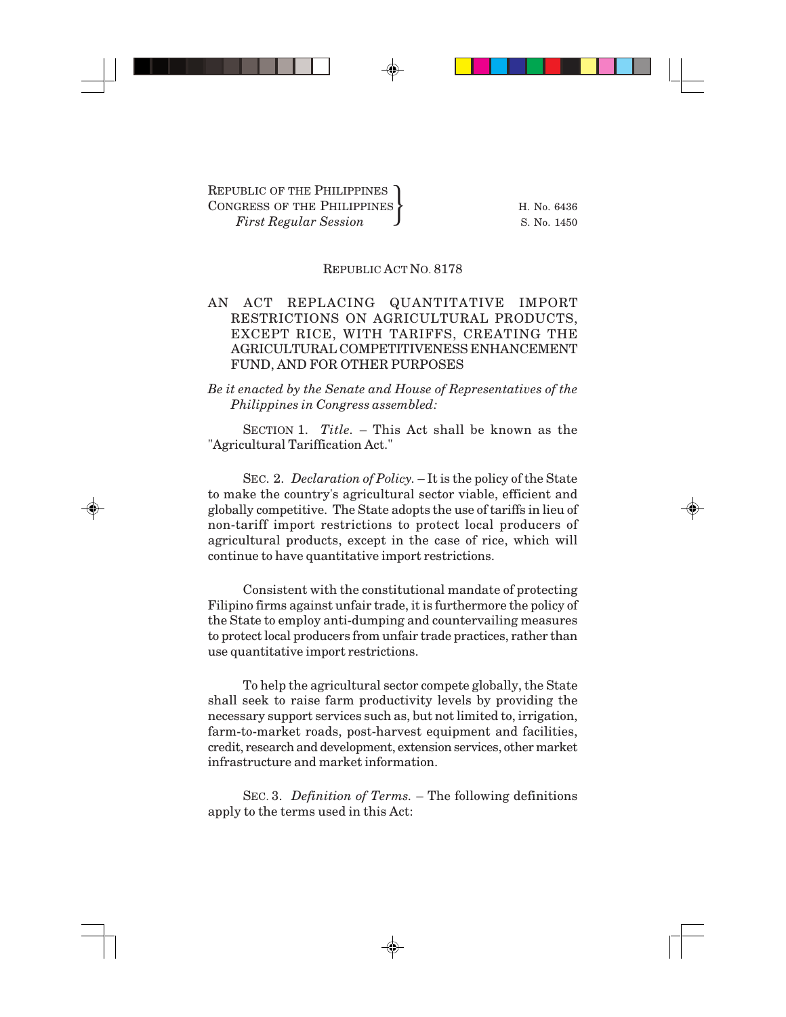## REPUBLIC ACT NO. 8178

## AN ACT REPLACING QUANTITATIVE IMPORT RESTRICTIONS ON AGRICULTURAL PRODUCTS, EXCEPT RICE, WITH TARIFFS, CREATING THE AGRICULTURAL COMPETITIVENESS ENHANCEMENT FUND, AND FOR OTHER PURPOSES

*Be it enacted by the Senate and House of Representatives of the Philippines in Congress assembled:*

SECTION 1. *Title.* – This Act shall be known as the "Agricultural Tariffication Act."

SEC. 2. *Declaration of Policy.* – It is the policy of the State to make the country's agricultural sector viable, efficient and globally competitive. The State adopts the use of tariffs in lieu of non-tariff import restrictions to protect local producers of agricultural products, except in the case of rice, which will continue to have quantitative import restrictions.

Consistent with the constitutional mandate of protecting Filipino firms against unfair trade, it is furthermore the policy of the State to employ anti-dumping and countervailing measures to protect local producers from unfair trade practices, rather than use quantitative import restrictions.

To help the agricultural sector compete globally, the State shall seek to raise farm productivity levels by providing the necessary support services such as, but not limited to, irrigation, farm-to-market roads, post-harvest equipment and facilities, credit, research and development, extension services, other market infrastructure and market information.

SEC. 3. *Definition of Terms.* – The following definitions apply to the terms used in this Act: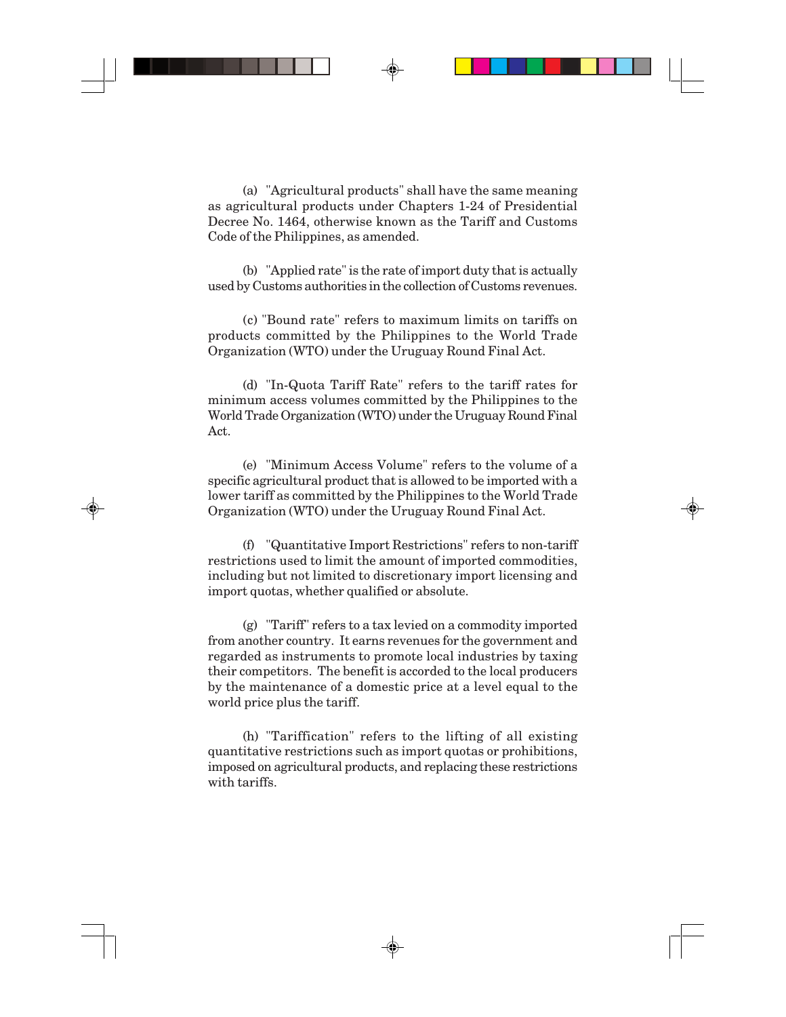(a) "Agricultural products" shall have the same meaning as agricultural products under Chapters 1-24 of Presidential Decree No. 1464, otherwise known as the Tariff and Customs Code of the Philippines, as amended.

(b) "Applied rate" is the rate of import duty that is actually used by Customs authorities in the collection of Customs revenues.

(c) "Bound rate" refers to maximum limits on tariffs on products committed by the Philippines to the World Trade Organization (WTO) under the Uruguay Round Final Act.

(d) "In-Quota Tariff Rate" refers to the tariff rates for minimum access volumes committed by the Philippines to the World Trade Organization (WTO) under the Uruguay Round Final Act.

(e) "Minimum Access Volume" refers to the volume of a specific agricultural product that is allowed to be imported with a lower tariff as committed by the Philippines to the World Trade Organization (WTO) under the Uruguay Round Final Act.

(f) "Quantitative Import Restrictions" refers to non-tariff restrictions used to limit the amount of imported commodities, including but not limited to discretionary import licensing and import quotas, whether qualified or absolute.

(g) "Tariff" refers to a tax levied on a commodity imported from another country. It earns revenues for the government and regarded as instruments to promote local industries by taxing their competitors. The benefit is accorded to the local producers by the maintenance of a domestic price at a level equal to the world price plus the tariff.

(h) "Tariffication" refers to the lifting of all existing quantitative restrictions such as import quotas or prohibitions, imposed on agricultural products, and replacing these restrictions with tariffs.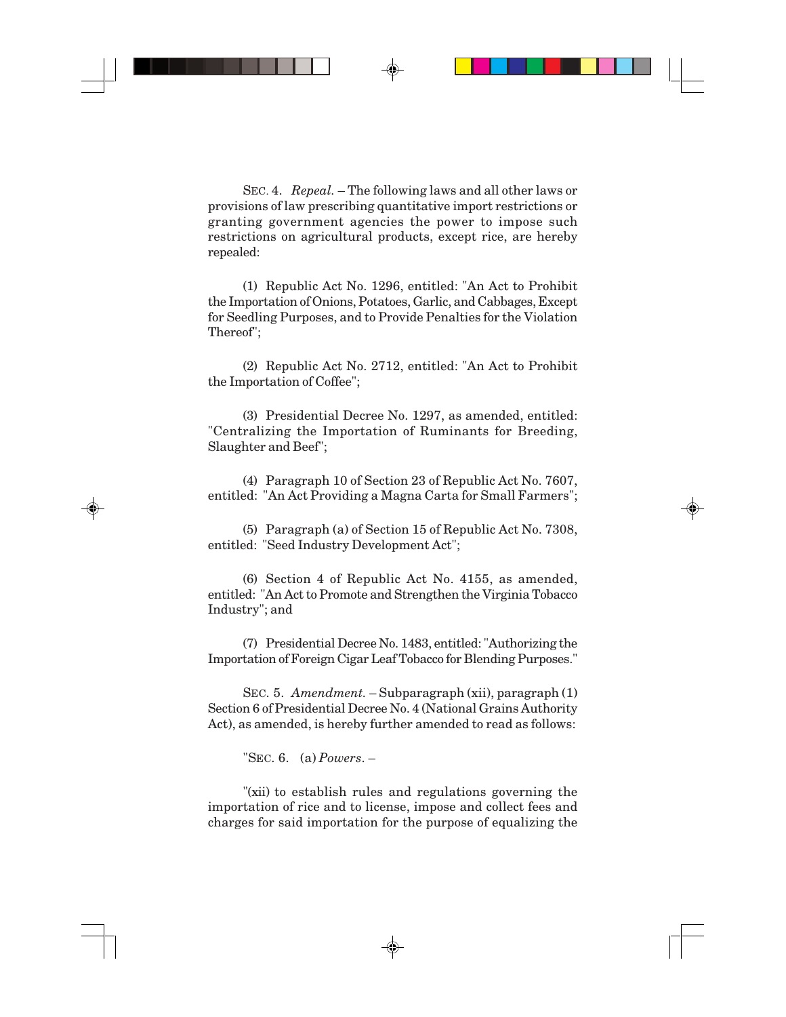SEC. 4. *Repeal.* – The following laws and all other laws or provisions of law prescribing quantitative import restrictions or granting government agencies the power to impose such restrictions on agricultural products, except rice, are hereby repealed:

(1) Republic Act No. 1296, entitled: "An Act to Prohibit the Importation of Onions, Potatoes, Garlic, and Cabbages, Except for Seedling Purposes, and to Provide Penalties for the Violation Thereof";

(2) Republic Act No. 2712, entitled: "An Act to Prohibit the Importation of Coffee";

(3) Presidential Decree No. 1297, as amended, entitled: "Centralizing the Importation of Ruminants for Breeding, Slaughter and Beef";

(4) Paragraph 10 of Section 23 of Republic Act No. 7607, entitled: "An Act Providing a Magna Carta for Small Farmers";

(5) Paragraph (a) of Section 15 of Republic Act No. 7308, entitled: "Seed Industry Development Act";

(6) Section 4 of Republic Act No. 4155, as amended, entitled: "An Act to Promote and Strengthen the Virginia Tobacco Industry"; and

(7) Presidential Decree No. 1483, entitled: "Authorizing the Importation of Foreign Cigar Leaf Tobacco for Blending Purposes."

SEC. 5. *Amendment.* – Subparagraph (xii), paragraph (1) Section 6 of Presidential Decree No. 4 (National Grains Authority Act), as amended, is hereby further amended to read as follows:

"SEC. 6. (a) *Powers*. –

"(xii) to establish rules and regulations governing the importation of rice and to license, impose and collect fees and charges for said importation for the purpose of equalizing the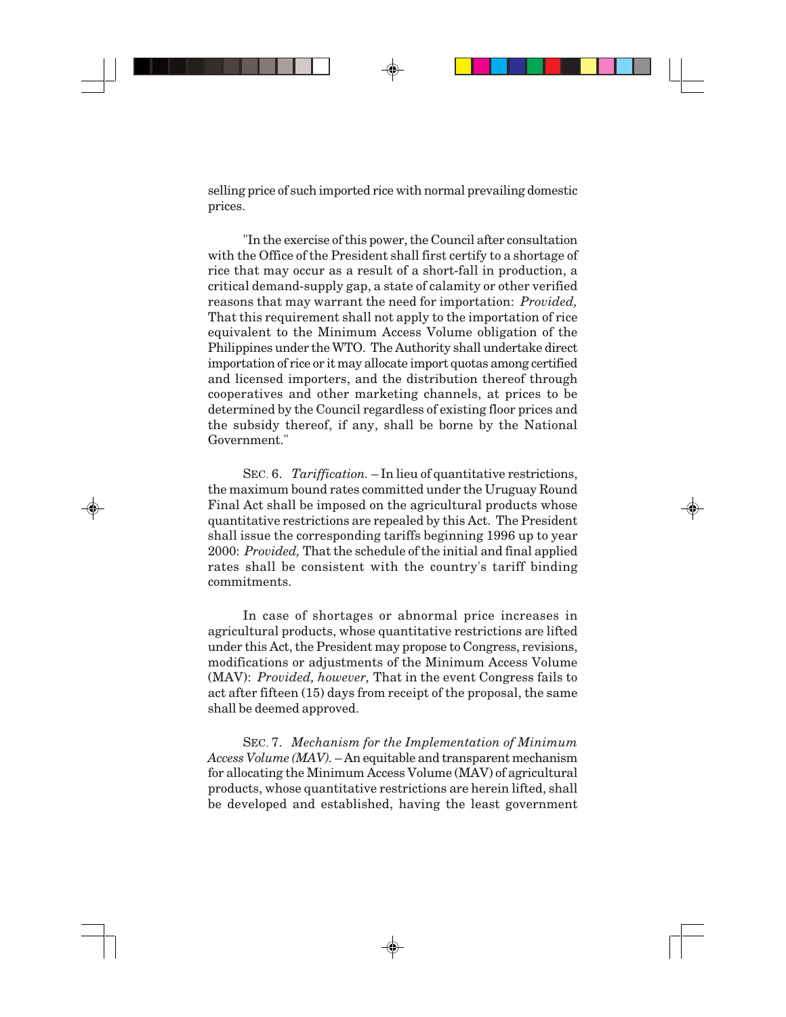selling price of such imported rice with normal prevailing domestic prices.

"In the exercise of this power, the Council after consultation with the Office of the President shall first certify to a shortage of rice that may occur as a result of a short-fall in production, a critical demand-supply gap, a state of calamity or other verified reasons that may warrant the need for importation: *Provided,* That this requirement shall not apply to the importation of rice equivalent to the Minimum Access Volume obligation of the Philippines under the WTO. The Authority shall undertake direct importation of rice or it may allocate import quotas among certified and licensed importers, and the distribution thereof through cooperatives and other marketing channels, at prices to be determined by the Council regardless of existing floor prices and the subsidy thereof, if any, shall be borne by the National Government."

SEC. 6. *Tariffication.* – In lieu of quantitative restrictions, the maximum bound rates committed under the Uruguay Round Final Act shall be imposed on the agricultural products whose quantitative restrictions are repealed by this Act. The President shall issue the corresponding tariffs beginning 1996 up to year 2000: *Provided,* That the schedule of the initial and final applied rates shall be consistent with the country's tariff binding commitments.

In case of shortages or abnormal price increases in agricultural products, whose quantitative restrictions are lifted under this Act, the President may propose to Congress, revisions, modifications or adjustments of the Minimum Access Volume (MAV): *Provided, however,* That in the event Congress fails to act after fifteen (15) days from receipt of the proposal, the same shall be deemed approved.

SEC. 7. *Mechanism for the Implementation of Minimum Access Volume (MAV).* – An equitable and transparent mechanism for allocating the Minimum Access Volume (MAV) of agricultural products, whose quantitative restrictions are herein lifted, shall be developed and established, having the least government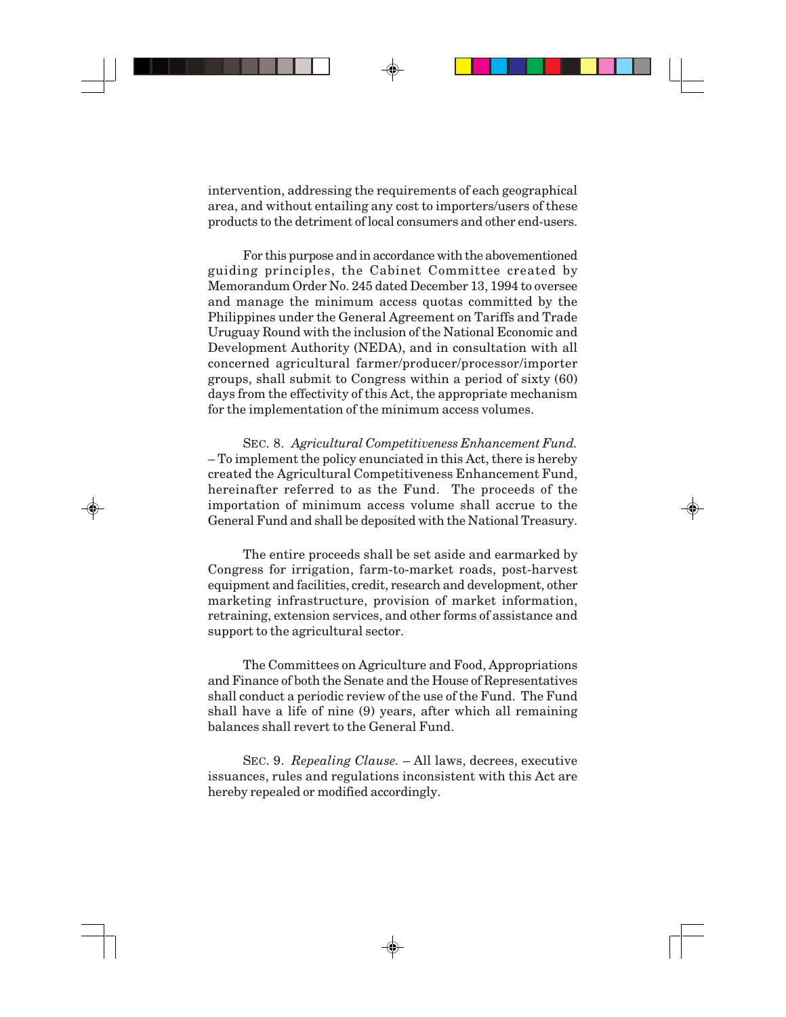intervention, addressing the requirements of each geographical area, and without entailing any cost to importers/users of these products to the detriment of local consumers and other end-users.

For this purpose and in accordance with the abovementioned guiding principles, the Cabinet Committee created by Memorandum Order No. 245 dated December 13, 1994 to oversee and manage the minimum access quotas committed by the Philippines under the General Agreement on Tariffs and Trade Uruguay Round with the inclusion of the National Economic and Development Authority (NEDA), and in consultation with all concerned agricultural farmer/producer/processor/importer groups, shall submit to Congress within a period of sixty (60) days from the effectivity of this Act, the appropriate mechanism for the implementation of the minimum access volumes.

SEC. 8. *Agricultural Competitiveness Enhancement Fund.* – To implement the policy enunciated in this Act, there is hereby created the Agricultural Competitiveness Enhancement Fund, hereinafter referred to as the Fund. The proceeds of the importation of minimum access volume shall accrue to the General Fund and shall be deposited with the National Treasury.

The entire proceeds shall be set aside and earmarked by Congress for irrigation, farm-to-market roads, post-harvest equipment and facilities, credit, research and development, other marketing infrastructure, provision of market information, retraining, extension services, and other forms of assistance and support to the agricultural sector.

The Committees on Agriculture and Food, Appropriations and Finance of both the Senate and the House of Representatives shall conduct a periodic review of the use of the Fund. The Fund shall have a life of nine (9) years, after which all remaining balances shall revert to the General Fund.

SEC. 9. *Repealing Clause.* – All laws, decrees, executive issuances, rules and regulations inconsistent with this Act are hereby repealed or modified accordingly.